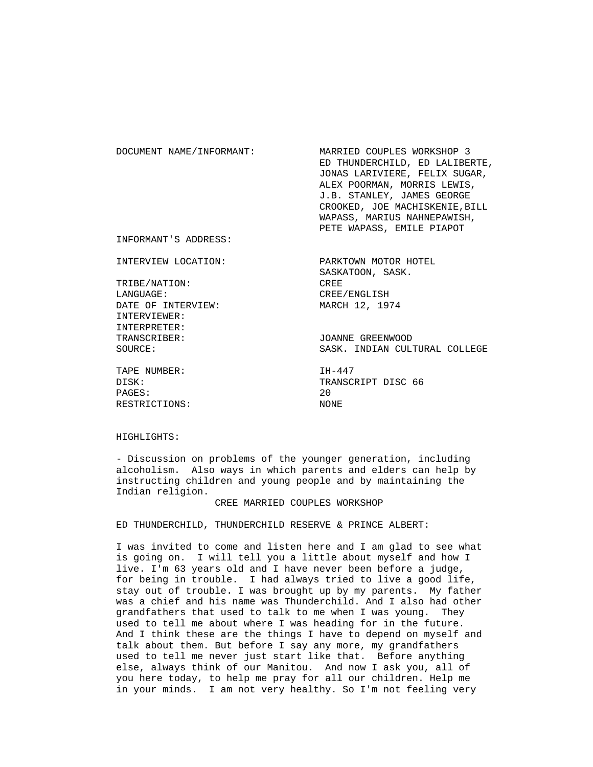| DOCUMENT NAME/INFORMANT: | MARRIED COUPLES WORKSHOP 3     |
|--------------------------|--------------------------------|
|                          | ED THUNDERCHILD, ED LALIBERTE, |
|                          | JONAS LARIVIERE, FELIX SUGAR,  |
|                          | ALEX POORMAN, MORRIS LEWIS,    |
|                          | J.B. STANLEY, JAMES GEORGE     |
|                          | CROOKED, JOE MACHISKENIE, BILL |
|                          | WAPASS, MARIUS NAHNEPAWISH,    |
|                          | PETE WAPASS, EMILE PIAPOT      |
| INFORMANT'S ADDRESS:     |                                |

INTERVIEW LOCATION: PARKTOWN MOTOR HOTEL

 TRIBE/NATION: CREE LANGUAGE: CREE/ENGLISH DATE OF INTERVIEW: MARCH 12, 1974 INTERVIEWER: INTERPRETER: TRANSCRIBER: JOANNE GREENWOOD

TAPE NUMBER: IH-447 PAGES: 20 RESTRICTIONS: NONE

SASKATOON, SASK.

SOURCE: SASK. INDIAN CULTURAL COLLEGE

DISK: TRANSCRIPT DISC 66

## HIGHLIGHTS:

 - Discussion on problems of the younger generation, including alcoholism. Also ways in which parents and elders can help by instructing children and young people and by maintaining the Indian religion.

#### CREE MARRIED COUPLES WORKSHOP

ED THUNDERCHILD, THUNDERCHILD RESERVE & PRINCE ALBERT:

 I was invited to come and listen here and I am glad to see what is going on. I will tell you a little about myself and how I live. I'm 63 years old and I have never been before a judge, for being in trouble. I had always tried to live a good life, stay out of trouble. I was brought up by my parents. My father was a chief and his name was Thunderchild. And I also had other grandfathers that used to talk to me when I was young. They used to tell me about where I was heading for in the future. And I think these are the things I have to depend on myself and talk about them. But before I say any more, my grandfathers used to tell me never just start like that. Before anything else, always think of our Manitou. And now I ask you, all of you here today, to help me pray for all our children. Help me in your minds. I am not very healthy. So I'm not feeling very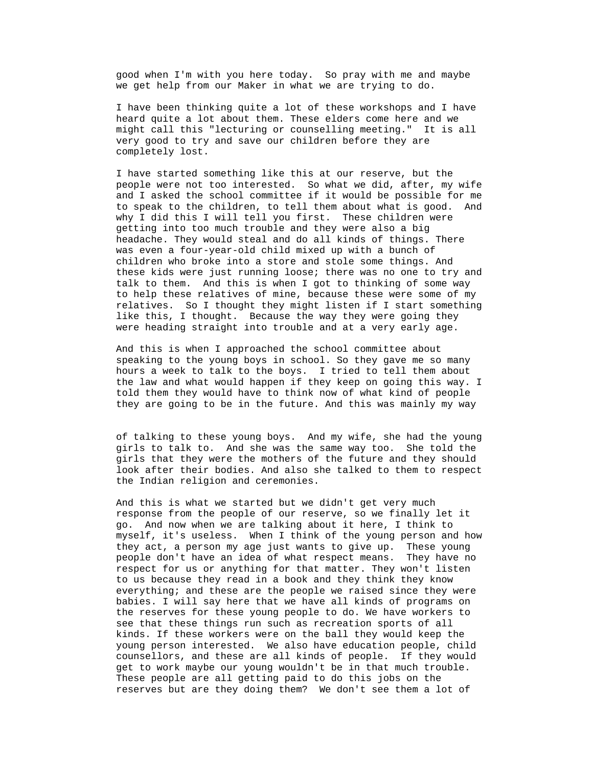good when I'm with you here today. So pray with me and maybe we get help from our Maker in what we are trying to do.

 I have been thinking quite a lot of these workshops and I have heard quite a lot about them. These elders come here and we might call this "lecturing or counselling meeting." It is all very good to try and save our children before they are completely lost.

 I have started something like this at our reserve, but the people were not too interested. So what we did, after, my wife and I asked the school committee if it would be possible for me to speak to the children, to tell them about what is good. And why I did this I will tell you first. These children were getting into too much trouble and they were also a big headache. They would steal and do all kinds of things. There was even a four-year-old child mixed up with a bunch of children who broke into a store and stole some things. And these kids were just running loose; there was no one to try and talk to them. And this is when I got to thinking of some way to help these relatives of mine, because these were some of my relatives. So I thought they might listen if I start something like this, I thought. Because the way they were going they were heading straight into trouble and at a very early age.

 And this is when I approached the school committee about speaking to the young boys in school. So they gave me so many hours a week to talk to the boys. I tried to tell them about the law and what would happen if they keep on going this way. I told them they would have to think now of what kind of people they are going to be in the future. And this was mainly my way

 of talking to these young boys. And my wife, she had the young girls to talk to. And she was the same way too. She told the girls that they were the mothers of the future and they should look after their bodies. And also she talked to them to respect the Indian religion and ceremonies.

 And this is what we started but we didn't get very much response from the people of our reserve, so we finally let it go. And now when we are talking about it here, I think to myself, it's useless. When I think of the young person and how they act, a person my age just wants to give up. These young people don't have an idea of what respect means. They have no respect for us or anything for that matter. They won't listen to us because they read in a book and they think they know everything; and these are the people we raised since they were babies. I will say here that we have all kinds of programs on the reserves for these young people to do. We have workers to see that these things run such as recreation sports of all kinds. If these workers were on the ball they would keep the young person interested. We also have education people, child counsellors, and these are all kinds of people. If they would get to work maybe our young wouldn't be in that much trouble. These people are all getting paid to do this jobs on the reserves but are they doing them? We don't see them a lot of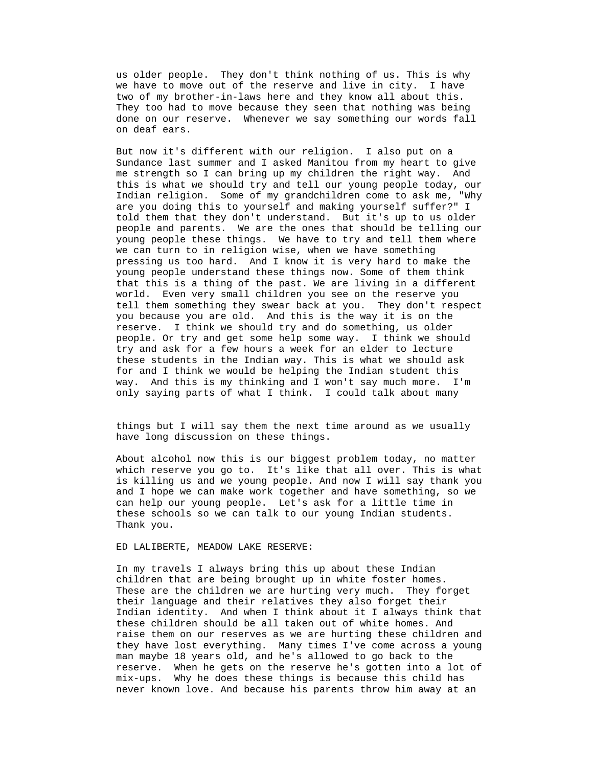us older people. They don't think nothing of us. This is why we have to move out of the reserve and live in city. I have two of my brother-in-laws here and they know all about this. They too had to move because they seen that nothing was being done on our reserve. Whenever we say something our words fall on deaf ears.

 But now it's different with our religion. I also put on a Sundance last summer and I asked Manitou from my heart to give me strength so I can bring up my children the right way. And this is what we should try and tell our young people today, our Indian religion. Some of my grandchildren come to ask me, "Why are you doing this to yourself and making yourself suffer?" I told them that they don't understand. But it's up to us older people and parents. We are the ones that should be telling our young people these things. We have to try and tell them where we can turn to in religion wise, when we have something pressing us too hard. And I know it is very hard to make the young people understand these things now. Some of them think that this is a thing of the past. We are living in a different world. Even very small children you see on the reserve you tell them something they swear back at you. They don't respect you because you are old. And this is the way it is on the reserve. I think we should try and do something, us older people. Or try and get some help some way. I think we should try and ask for a few hours a week for an elder to lecture these students in the Indian way. This is what we should ask for and I think we would be helping the Indian student this way. And this is my thinking and I won't say much more. I'm only saying parts of what I think. I could talk about many

 things but I will say them the next time around as we usually have long discussion on these things.

 About alcohol now this is our biggest problem today, no matter which reserve you go to. It's like that all over. This is what is killing us and we young people. And now I will say thank you and I hope we can make work together and have something, so we can help our young people. Let's ask for a little time in these schools so we can talk to our young Indian students. Thank you.

ED LALIBERTE, MEADOW LAKE RESERVE:

 In my travels I always bring this up about these Indian children that are being brought up in white foster homes. These are the children we are hurting very much. They forget their language and their relatives they also forget their Indian identity. And when I think about it I always think that these children should be all taken out of white homes. And raise them on our reserves as we are hurting these children and they have lost everything. Many times I've come across a young man maybe 18 years old, and he's allowed to go back to the reserve. When he gets on the reserve he's gotten into a lot of mix-ups. Why he does these things is because this child has never known love. And because his parents throw him away at an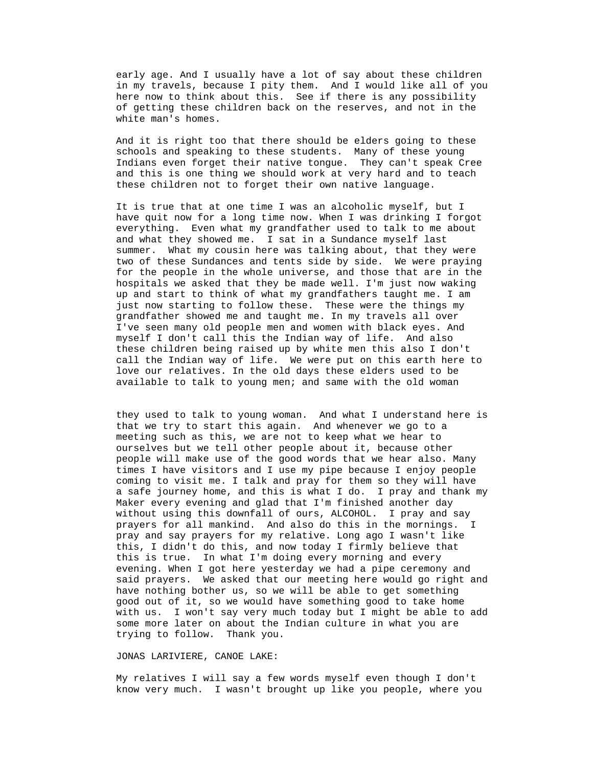early age. And I usually have a lot of say about these children in my travels, because I pity them. And I would like all of you here now to think about this. See if there is any possibility of getting these children back on the reserves, and not in the white man's homes.

 And it is right too that there should be elders going to these schools and speaking to these students. Many of these young Indians even forget their native tongue. They can't speak Cree and this is one thing we should work at very hard and to teach these children not to forget their own native language.

 It is true that at one time I was an alcoholic myself, but I have quit now for a long time now. When I was drinking I forgot everything. Even what my grandfather used to talk to me about and what they showed me. I sat in a Sundance myself last summer. What my cousin here was talking about, that they were two of these Sundances and tents side by side. We were praying for the people in the whole universe, and those that are in the hospitals we asked that they be made well. I'm just now waking up and start to think of what my grandfathers taught me. I am just now starting to follow these. These were the things my grandfather showed me and taught me. In my travels all over I've seen many old people men and women with black eyes. And myself I don't call this the Indian way of life. And also these children being raised up by white men this also I don't call the Indian way of life. We were put on this earth here to love our relatives. In the old days these elders used to be available to talk to young men; and same with the old woman

 they used to talk to young woman. And what I understand here is that we try to start this again. And whenever we go to a meeting such as this, we are not to keep what we hear to ourselves but we tell other people about it, because other people will make use of the good words that we hear also. Many times I have visitors and I use my pipe because I enjoy people coming to visit me. I talk and pray for them so they will have a safe journey home, and this is what I do. I pray and thank my Maker every evening and glad that I'm finished another day without using this downfall of ours, ALCOHOL. I pray and say prayers for all mankind. And also do this in the mornings. I pray and say prayers for my relative. Long ago I wasn't like this, I didn't do this, and now today I firmly believe that this is true. In what I'm doing every morning and every evening. When I got here yesterday we had a pipe ceremony and said prayers. We asked that our meeting here would go right and have nothing bother us, so we will be able to get something good out of it, so we would have something good to take home with us. I won't say very much today but I might be able to add some more later on about the Indian culture in what you are trying to follow. Thank you.

JONAS LARIVIERE, CANOE LAKE:

 My relatives I will say a few words myself even though I don't know very much. I wasn't brought up like you people, where you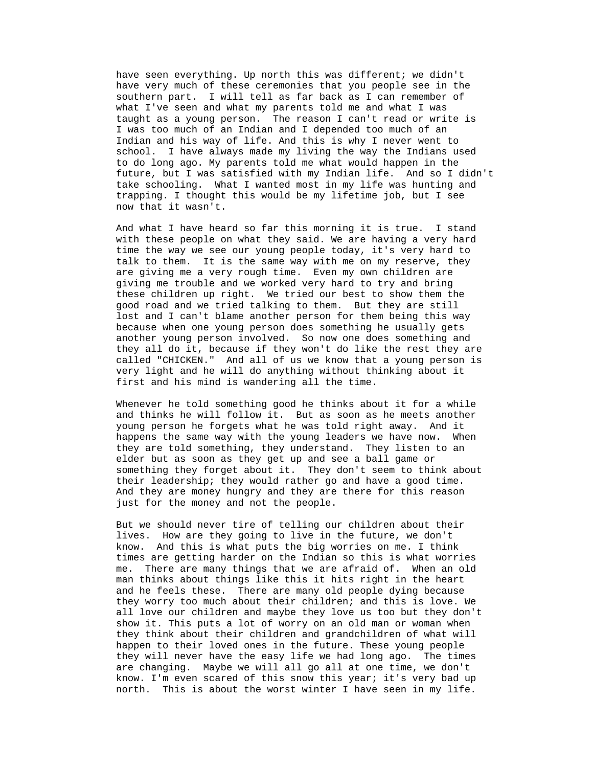have seen everything. Up north this was different; we didn't have very much of these ceremonies that you people see in the southern part. I will tell as far back as I can remember of what I've seen and what my parents told me and what I was taught as a young person. The reason I can't read or write is I was too much of an Indian and I depended too much of an Indian and his way of life. And this is why I never went to school. I have always made my living the way the Indians used to do long ago. My parents told me what would happen in the future, but I was satisfied with my Indian life. And so I didn't take schooling. What I wanted most in my life was hunting and trapping. I thought this would be my lifetime job, but I see now that it wasn't.

 And what I have heard so far this morning it is true. I stand with these people on what they said. We are having a very hard time the way we see our young people today, it's very hard to talk to them. It is the same way with me on my reserve, they are giving me a very rough time. Even my own children are giving me trouble and we worked very hard to try and bring these children up right. We tried our best to show them the good road and we tried talking to them. But they are still lost and I can't blame another person for them being this way because when one young person does something he usually gets another young person involved. So now one does something and they all do it, because if they won't do like the rest they are called "CHICKEN." And all of us we know that a young person is very light and he will do anything without thinking about it first and his mind is wandering all the time.

 Whenever he told something good he thinks about it for a while and thinks he will follow it. But as soon as he meets another young person he forgets what he was told right away. And it happens the same way with the young leaders we have now. When they are told something, they understand. They listen to an elder but as soon as they get up and see a ball game or something they forget about it. They don't seem to think about their leadership; they would rather go and have a good time. And they are money hungry and they are there for this reason just for the money and not the people.

But we should never tire of telling our children about their times are getting harder on the Indian so this is what worries lives. How are they going to live in the future, we don't know. And this is what puts the big worries on me. I think me. There are many things that we are afraid of. When an old man thinks about things like this it hits right in the heart and he feels these. There are many old people dying because they worry too much about their children; and this is love. We all love our children and maybe they love us too but they don't show it. This puts a lot of worry on an old man or woman when they think about their children and grandchildren of what will happen to their loved ones in the future. These young people they will never have the easy life we had long ago. The times are changing. Maybe we will all go all at one time, we don't know. I'm even scared of this snow this year; it's very bad up north. This is about the worst winter I have seen in my life.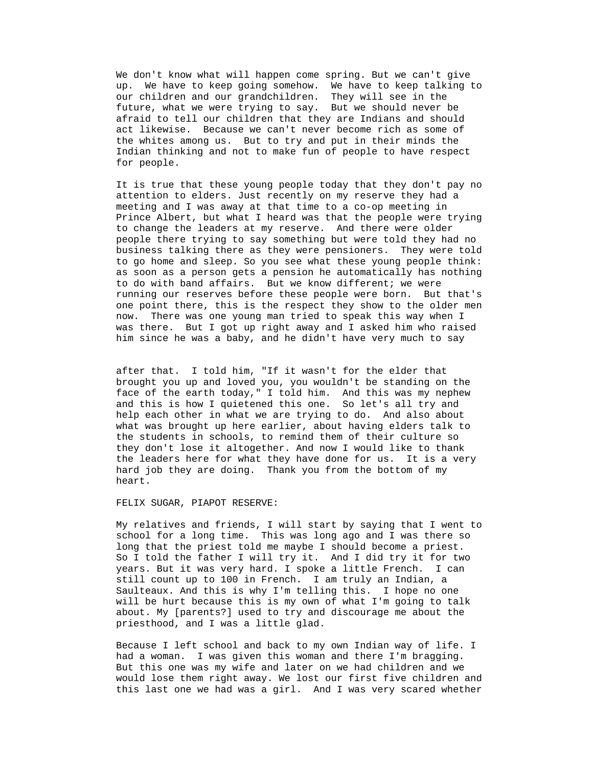We don't know what will happen come spring. But we can't give up. We have to keep going somehow. We have to keep talking to our children and our grandchildren. They will see in the future, what we were trying to say. But we should never be afraid to tell our children that they are Indians and should act likewise. Because we can't never become rich as some of the whites among us. But to try and put in their minds the Indian thinking and not to make fun of people to have respect for people.

 It is true that these young people today that they don't pay no attention to elders. Just recently on my reserve they had a meeting and I was away at that time to a co-op meeting in Prince Albert, but what I heard was that the people were trying to change the leaders at my reserve. And there were older people there trying to say something but were told they had no running our reserves before these people were born. But that's business talking there as they were pensioners. They were told to go home and sleep. So you see what these young people think: as soon as a person gets a pension he automatically has nothing to do with band affairs. But we know different; we were one point there, this is the respect they show to the older men now. There was one young man tried to speak this way when I was there. But I got up right away and I asked him who raised him since he was a baby, and he didn't have very much to say

after that. I told him, "If it wasn't for the elder that brought you up and loved you, you wouldn't be standing on the face of the earth today," I told him. And this was my nephew and this is how I quietened this one. So let's all try and help each other in what we are trying to do. And also about what was brought up here earlier, about having elders talk to the students in schools, to remind them of their culture so they don't lose it altogether. And now I would like to thank the leaders here for what they have done for us. It is a very hard job they are doing. Thank you from the bottom of my heart.

FELIX SUGAR, PIAPOT RESERVE:

My relatives and friends, I will start by saying that I went to school for a long time. This was long ago and I was there so long that the priest told me maybe I should become a priest. So I told the father I will try it. And I did try it for two years. But it was very hard. I spoke a little French. I can still count up to 100 in French. I am truly an Indian, a Saulteaux. And this is why I'm telling this. I hope no one will be hurt because this is my own of what I'm going to talk about. My [parents?] used to try and discourage me about the priesthood, and I was a little glad.

Because I left school and back to my own Indian way of life. I would lose them right away. We lost our first five children and had a woman. I was given this woman and there I'm bragging. But this one was my wife and later on we had children and we this last one we had was a girl. And I was very scared whether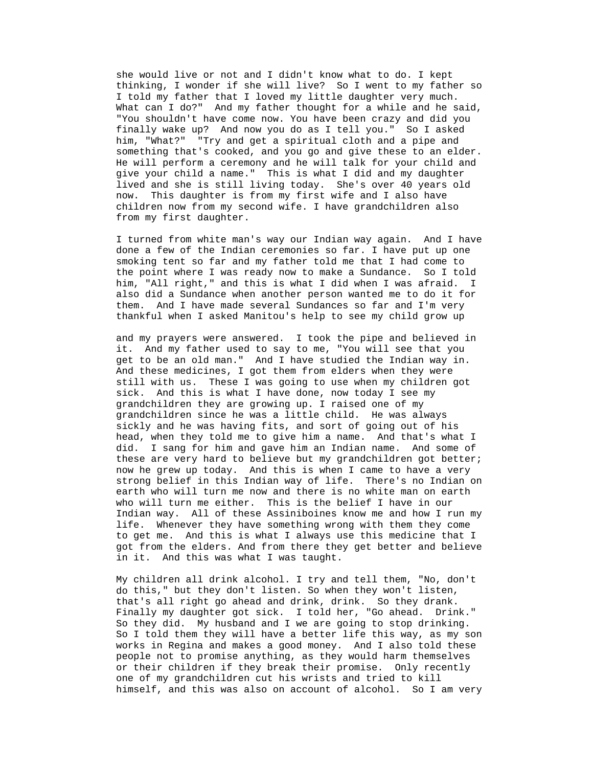she would live or not and I didn't know what to do. I kept thinking, I wonder if she will live? So I went to my father so I told my father that I loved my little daughter very much. What can I do?" And my father thought for a while and he said, "You shouldn't have come now. You have been crazy and did you finally wake up? And now you do as I tell you." So I asked him, "What?" "Try and get a spiritual cloth and a pipe and something that's cooked, and you go and give these to an elder. He will perform a ceremony and he will talk for your child and give your child a name." This is what I did and my daughter lived and she is still living today. She's over 40 years old now. This daughter is from my first wife and I also have children now from my second wife. I have grandchildren also from my first daughter.

I turned from white man's way our Indian way again. And I have done a few of the Indian ceremonies so far. I have put up one smoking tent so far and my father told me that I had come to the point where I was ready now to make a Sundance. So I told him, "All right," and this is what I did when I was afraid. I also did a Sundance when another person wanted me to do it for them. And I have made several Sundances so far and I'm very thankful when I asked Manitou's help to see my child grow up

and my prayers were answered. I took the pipe and believed in grandchildren since he was a little child. He was always head, when they told me to give him a name. And that's what I Indian way. All of these Assiniboines know me and how I run my in it. And this was what I was taught. it. And my father used to say to me, "You will see that you get to be an old man." And I have studied the Indian way in. And these medicines, I got them from elders when they were still with us. These I was going to use when my children got sick. And this is what I have done, now today I see my grandchildren they are growing up. I raised one of my sickly and he was having fits, and sort of going out of his did. I sang for him and gave him an Indian name. And some of these are very hard to believe but my grandchildren got better; now he grew up today. And this is when I came to have a very strong belief in this Indian way of life. There's no Indian on earth who will turn me now and there is no white man on earth who will turn me either. This is the belief I have in our life. Whenever they have something wrong with them they come to get me. And this is what I always use this medicine that I got from the elders. And from there they get better and believe

do this," but they don't listen. So when they won't listen, My children all drink alcohol. I try and tell them, "No, don't that's all right go ahead and drink, drink. So they drank. Finally my daughter got sick. I told her, "Go ahead. Drink." So they did. My husband and I we are going to stop drinking. So I told them they will have a better life this way, as my son works in Regina and makes a good money. And I also told these people not to promise anything, as they would harm themselves or their children if they break their promise. Only recently one of my grandchildren cut his wrists and tried to kill himself, and this was also on account of alcohol. So I am very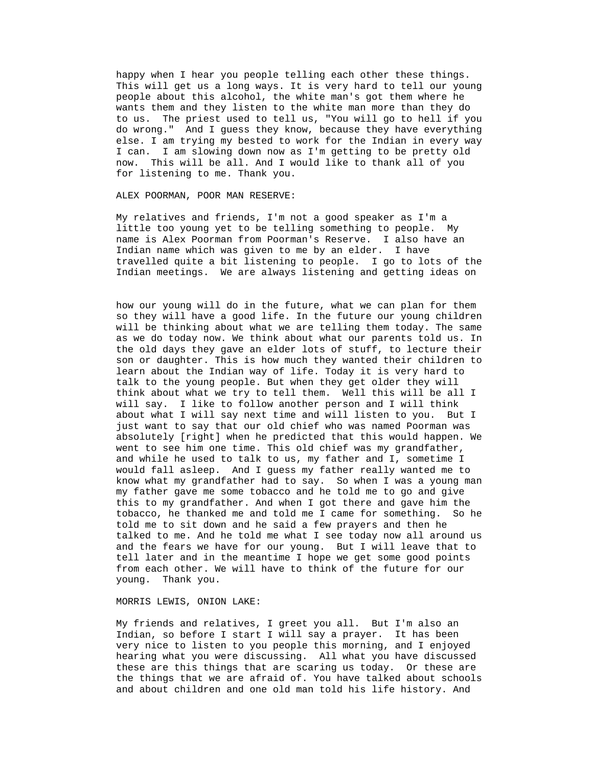happy when I hear you people telling each other these things. to us. The priest used to tell us, "You will go to hell if you This will get us a long ways. It is very hard to tell our young people about this alcohol, the white man's got them where he wants them and they listen to the white man more than they do do wrong." And I guess they know, because they have everything else. I am trying my bested to work for the Indian in every way I can. I am slowing down now as I'm getting to be pretty old now. This will be all. And I would like to thank all of you for listening to me. Thank you.

ALEX POORMAN, POOR MAN RESERVE:

My relatives and friends, I'm not a good speaker as I'm a little too young yet to be telling something to people. My n name is Alex Poorman from Poorman's Reserve. I also have a travelled quite a bit listening to people. I go to lots of the Indian meetings. We are always listening and getting ideas on Indian name which was given to me by an elder. I have

how our young will do in the future, what we can plan for them know what my grandfather had to say. So when I was a young man tell later and in the meantime I hope we get some good points so they will have a good life. In the future our young children will be thinking about what we are telling them today. The same as we do today now. We think about what our parents told us. In the old days they gave an elder lots of stuff, to lecture their son or daughter. This is how much they wanted their children to learn about the Indian way of life. Today it is very hard to talk to the young people. But when they get older they will think about what we try to tell them. Well this will be all I will say. I like to follow another person and I will think about what I will say next time and will listen to you. But I just want to say that our old chief who was named Poorman was absolutely [right] when he predicted that this would happen. We went to see him one time. This old chief was my grandfather, and while he used to talk to us, my father and I, sometime I would fall asleep. And I guess my father really wanted me to my father gave me some tobacco and he told me to go and give this to my grandfather. And when I got there and gave him the tobacco, he thanked me and told me I came for something. So he told me to sit down and he said a few prayers and then he talked to me. And he told me what I see today now all around us and the fears we have for our young. But I will leave that to from each other. We will have to think of the future for our young. Thank you.

# MORRIS LEWIS, ONION LAKE:

My friends and relatives, I greet you all. But I'm also an Indian, so before I start I will say a prayer. It has been very nice to listen to you people this morning, and I enjoyed hearing what you were discussing. All what you have discussed these are this things that are scaring us today. Or these are the things that we are afraid of. You have talked about schools and about children and one old man told his life history. And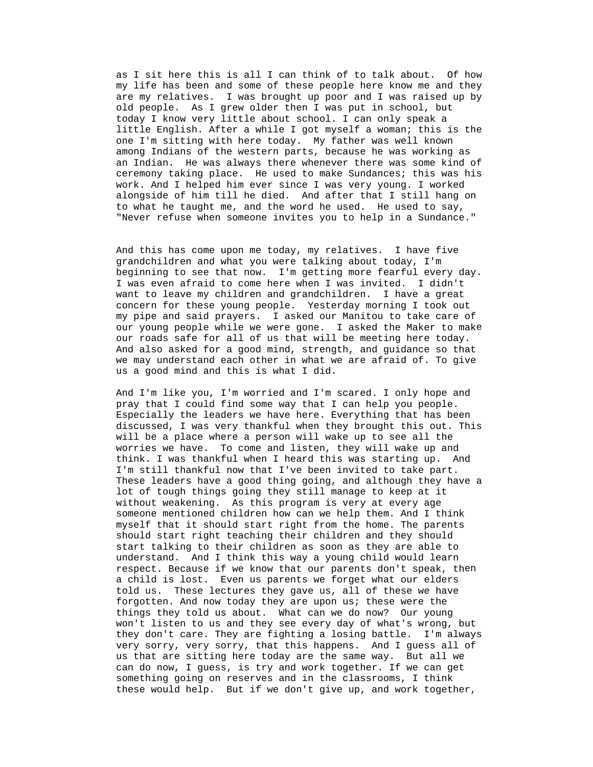as I sit here this is all I can think of to talk about. Of how my life has been and some of these people here know me and they are my relatives. I was brought up poor and I was raised up by ceremony taking place. He used to make Sundances; this was his old people. As I grew older then I was put in school, but today I know very little about school. I can only speak a little English. After a while I got myself a woman; this is the one I'm sitting with here today. My father was well known among Indians of the western parts, because he was working as an Indian. He was always there whenever there was some kind of work. And I helped him ever since I was very young. I worked alongside of him till he died. And after that I still hang on to what he taught me, and the word he used. He used to say, "Never refuse when someone invites you to help in a Sundance."

grandchildren and what you were talking about today, I'm beginning to see that now. I'm getting more fearful every day. want to leave my children and grandchildren. I have a great our young people while we were gone. I asked the Maker to make And this has come upon me today, my relatives. I have five I was even afraid to come here when I was invited. I didn't concern for these young people. Yesterday morning I took out my pipe and said prayers. I asked our Manitou to take care of our roads safe for all of us that will be meeting here today. And also asked for a good mind, strength, and guidance so that we may understand each other in what we are afraid of. To give us a good mind and this is what I did.

pray that I could find some way that I can help you people. Especially the leaders we have here. Everything that has been These leaders have a good thing going, and although they have a myself that it should start right from the home. The parents respect. Because if we know that our parents don't speak, then won't listen to us and they see every day of what's wrong, but they don't care. They are fighting a losing battle. I'm always very sorry, very sorry, that this happens. And I guess all of And I'm like you, I'm worried and I'm scared. I only hope and discussed, I was very thankful when they brought this out. This will be a place where a person will wake up to see all the worries we have. To come and listen, they will wake up and think. I was thankful when I heard this was starting up. And I'm still thankful now that I've been invited to take part. lot of tough things going they still manage to keep at it without weakening. As this program is very at every age someone mentioned children how can we help them. And I think should start right teaching their children and they should start talking to their children as soon as they are able to understand. And I think this way a young child would learn a child is lost. Even us parents we forget what our elders told us. These lectures they gave us, all of these we have forgotten. And now today they are upon us; these were the things they told us about. What can we do now? Our young us that are sitting here today are the same way. But all we can do now, I guess, is try and work together. If we can get something going on reserves and in the classrooms, I think these would help. But if we don't give up, and work together,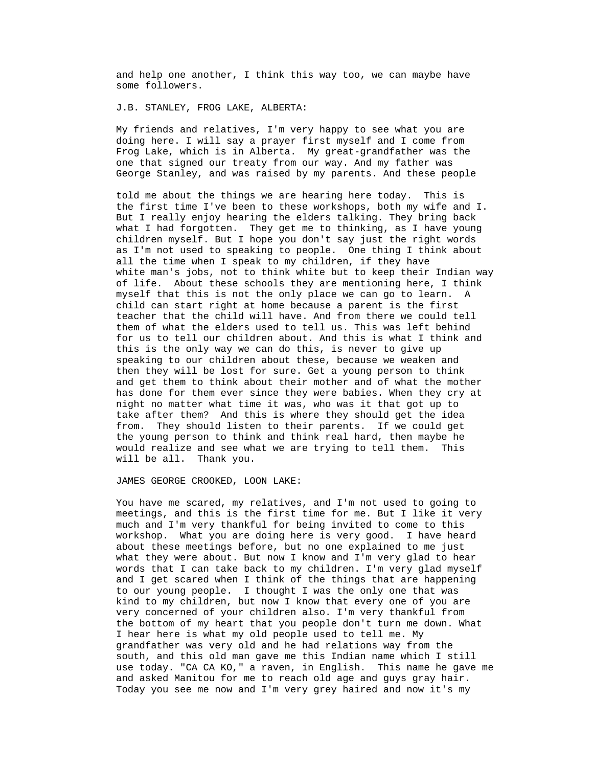and help one another, I think this way too, we can maybe have some followers.

J.B. STANLEY, FROG LAKE, ALBERTA:

 My friends and relatives, I'm very happy to see what you are doing here. I will say a prayer first myself and I come from Frog Lake, which is in Alberta. My great-grandfather was the one that signed our treaty from our way. And my father was George Stanley, and was raised by my parents. And these people

But I really enjoy hearing the elders talking. They bring back what I had forgotten. They get me to thinking, as I have young white man's jobs, not to think white but to keep their Indian way myself that this is not the only place we can go to learn. A for us to tell our children about. And this is what I think and has done for them ever since they were babies. When they cry at told me about the things we are hearing here today. This is the first time I've been to these workshops, both my wife and I. children myself. But I hope you don't say just the right words as I'm not used to speaking to people. One thing I think about all the time when I speak to my children, if they have of life. About these schools they are mentioning here, I think child can start right at home because a parent is the first teacher that the child will have. And from there we could tell them of what the elders used to tell us. This was left behind this is the only way we can do this, is never to give up speaking to our children about these, because we weaken and then they will be lost for sure. Get a young person to think and get them to think about their mother and of what the mother night no matter what time it was, who was it that got up to take after them? And this is where they should get the idea from. They should listen to their parents. If we could get the young person to think and think real hard, then maybe he would realize and see what we are trying to tell them. This will be all. Thank you.

JAMES GEORGE CROOKED, LOON LAKE:

You have me scared, my relatives, and I'm not used to going to meetings, and this is the first time for me. But I like it very much and I'm very thankful for being invited to come to this the bottom of my heart that you people don't turn me down. What use today. "CA CA KO," a raven, in English. This name he gave me and asked Manitou for me to reach old age and guys gray hair. workshop. What you are doing here is very good. I have heard about these meetings before, but no one explained to me just what they were about. But now I know and I'm very glad to hear words that I can take back to my children. I'm very glad myself and I get scared when I think of the things that are happening to our young people. I thought I was the only one that was kind to my children, but now I know that every one of you are very concerned of your children also. I'm very thankful from I hear here is what my old people used to tell me. My grandfather was very old and he had relations way from the south, and this old man gave me this Indian name which I still Today you see me now and I'm very grey haired and now it's my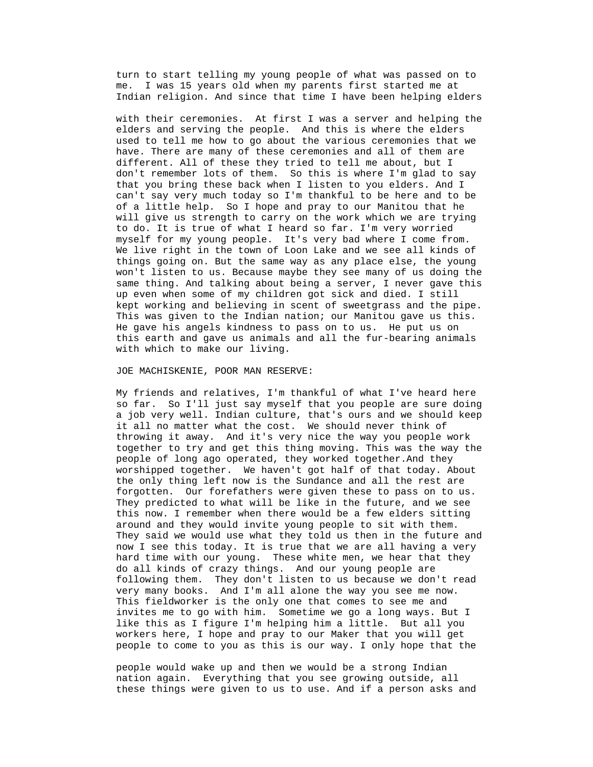turn to start telling my young people of what was passed on to me. I was 15 years old when my parents first started me at Indian religion. And since that time I have been helping elders

used to tell me how to go about the various ceremonies that we can't say very much today so I'm thankful to be here and to be things going on. But the same way as any place else, the young with their ceremonies. At first I was a server and helping the elders and serving the people. And this is where the elders have. There are many of these ceremonies and all of them are different. All of these they tried to tell me about, but I don't remember lots of them. So this is where I'm glad to say that you bring these back when I listen to you elders. And I of a little help. So I hope and pray to our Manitou that he will give us strength to carry on the work which we are trying to do. It is true of what I heard so far. I'm very worried myself for my young people. It's very bad where I come from. We live right in the town of Loon Lake and we see all kinds of won't listen to us. Because maybe they see many of us doing the same thing. And talking about being a server, I never gave this up even when some of my children got sick and died. I still kept working and believing in scent of sweetgrass and the pipe. This was given to the Indian nation; our Manitou gave us this. He gave his angels kindness to pass on to us. He put us on this earth and gave us animals and all the fur-bearing animals with which to make our living.

## JOE MACHISKENIE, POOR MAN RESERVE:

My friends and relatives, I'm thankful of what I've heard here so far. So I'll just say myself that you people are sure doing a job very well. Indian culture, that's ours and we should keep forgotten. Our forefathers were given these to pass on to us. workers here, I hope and pray to our Maker that you will get it all no matter what the cost. We should never think of throwing it away. And it's very nice the way you people work together to try and get this thing moving. This was the way the people of long ago operated, they worked together.And they worshipped together. We haven't got half of that today. About the only thing left now is the Sundance and all the rest are They predicted to what will be like in the future, and we see this now. I remember when there would be a few elders sitting around and they would invite young people to sit with them. They said we would use what they told us then in the future and now I see this today. It is true that we are all having a very hard time with our young. These white men, we hear that they do all kinds of crazy things. And our young people are following them. They don't listen to us because we don't read very many books. And I'm all alone the way you see me now. This fieldworker is the only one that comes to see me and invites me to go with him. Sometime we go a long ways. But I like this as I figure I'm helping him a little. But all you people to come to you as this is our way. I only hope that the

these things were given to us to use. And if a person asks and people would wake up and then we would be a strong Indian nation again. Everything that you see growing outside, all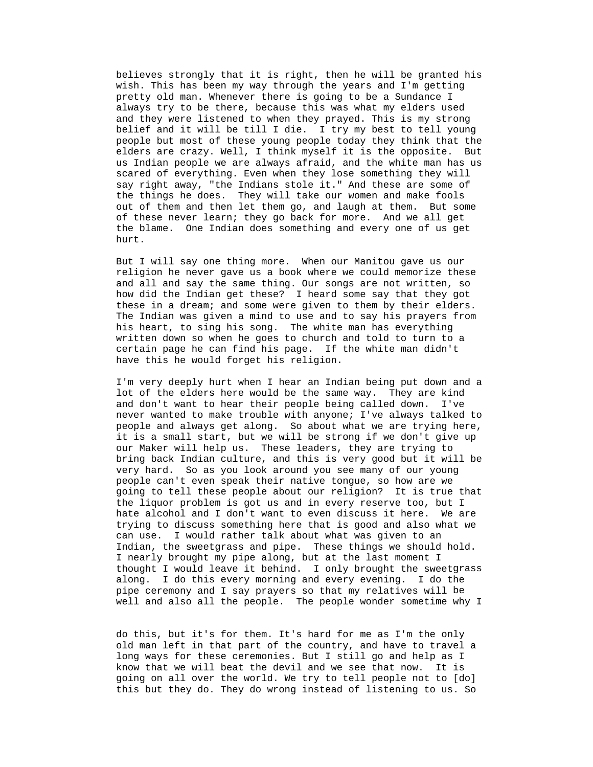believes strongly that it is right, then he will be granted his belief and it will be till I die. I try my best to tell young people but most of these young people today they think that the wish. This has been my way through the years and I'm getting pretty old man. Whenever there is going to be a Sundance I always try to be there, because this was what my elders used and they were listened to when they prayed. This is my strong elders are crazy. Well, I think myself it is the opposite. But us Indian people we are always afraid, and the white man has us scared of everything. Even when they lose something they will say right away, "the Indians stole it." And these are some of the things he does. They will take our women and make fools out of them and then let them go, and laugh at them. But some of these never learn; they go back for more. And we all get the blame. One Indian does something and every one of us get hurt.

religion he never gave us a book where we could memorize these But I will say one thing more. When our Manitou gave us our and all and say the same thing. Our songs are not written, so how did the Indian get these? I heard some say that they got these in a dream; and some were given to them by their elders. The Indian was given a mind to use and to say his prayers from his heart, to sing his song. The white man has everything written down so when he goes to church and told to turn to a certain page he can find his page. If the white man didn't have this he would forget his religion.

I'm very deeply hurt when I hear an Indian being put down and a lot of the elders here would be the same way. They are kind and don't want to hear their people being called down. I've people and always get along. So about what we are trying here, hate alcohol and I don't want to even discuss it here. We are thought I would leave it behind. I only brought the sweetgrass pipe ceremony and I say prayers so that my relatives will be never wanted to make trouble with anyone; I've always talked to it is a small start, but we will be strong if we don't give up our Maker will help us. These leaders, they are trying to bring back Indian culture, and this is very good but it will be very hard. So as you look around you see many of our young people can't even speak their native tongue, so how are we going to tell these people about our religion? It is true that the liquor problem is got us and in every reserve too, but I trying to discuss something here that is good and also what we can use. I would rather talk about what was given to an Indian, the sweetgrass and pipe. These things we should hold. I nearly brought my pipe along, but at the last moment I along. I do this every morning and every evening. I do the well and also all the people. The people wonder sometime why I

> do this, but it's for them. It's hard for me as I'm the only old man left in that part of the country, and have to travel a long ways for these ceremonies. But I still go and help as I know that we will beat the devil and we see that now. It is going on all over the world. We try to tell people not to [do] this but they do. They do wrong instead of listening to us. So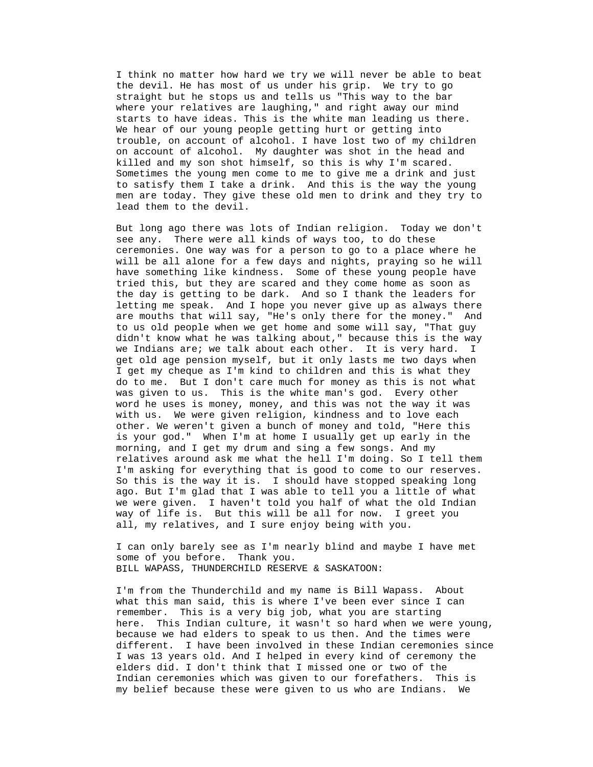I think no matter how hard we try we will never be able to beat starts to have ideas. This is the white man leading us there. trouble, on account of alcohol. I have lost two of my children men are today. They give these old men to drink and they try to the devil. He has most of us under his grip. We try to go straight but he stops us and tells us "This way to the bar where your relatives are laughing," and right away our mind We hear of our young people getting hurt or getting into on account of alcohol. My daughter was shot in the head and killed and my son shot himself, so this is why I'm scared. Sometimes the young men come to me to give me a drink and just to satisfy them I take a drink. And this is the way the young lead them to the devil.

see any. There were all kinds of ways too, to do these have have something like kindness. Some of these young people But long ago there was lots of Indian religion. Today we don't ceremonies. One way was for a person to go to a place where he will be all alone for a few days and nights, praying so he will tried this, but they are scared and they come home as soon as the day is getting to be dark. And so I thank the leaders for letting me speak. And I hope you never give up as always there are mouths that will say, "He's only there for the money." And to us old people when we get home and some will say, "That guy didn't know what he was talking about," because this is the way we Indians are; we talk about each other. It is very hard. I get old age pension myself, but it only lasts me two days when I get my cheque as I'm kind to children and this is what they do to me. But I don't care much for money as this is not what was given to us. This is the white man's god. Every other word he uses is money, money, and this was not the way it was with us. We were given religion, kindness and to love each other. We weren't given a bunch of money and told, "Here this is your god." When I'm at home I usually get up early in the morning, and I get my drum and sing a few songs. And my relatives around ask me what the hell I'm doing. So I tell them I'm asking for everything that is good to come to our reserves. So this is the way it is. I should have stopped speaking long ago. But I'm glad that I was able to tell you a little of what we were given. I haven't told you half of what the old Indian way of life is. But this will be all for now. I greet you all, my relatives, and I sure enjoy being with you.

BILL WAPASS, THUNDERCHILD RESERVE & SASKATOON: I can only barely see as I'm nearly blind and maybe I have met some of you before. Thank you.

I'm from the Thunderchild and my name is Bill Wapass. About what this man said, this is where I've been ever since I can remember. This is a very big job, what you are starting here. This Indian culture, it wasn't so hard when we were young, different. I have been involved in these Indian ceremonies since because we had elders to speak to us then. And the times were I was 13 years old. And I helped in every kind of ceremony the elders did. I don't think that I missed one or two of the Indian ceremonies which was given to our forefathers. This is my belief because these were given to us who are Indians. We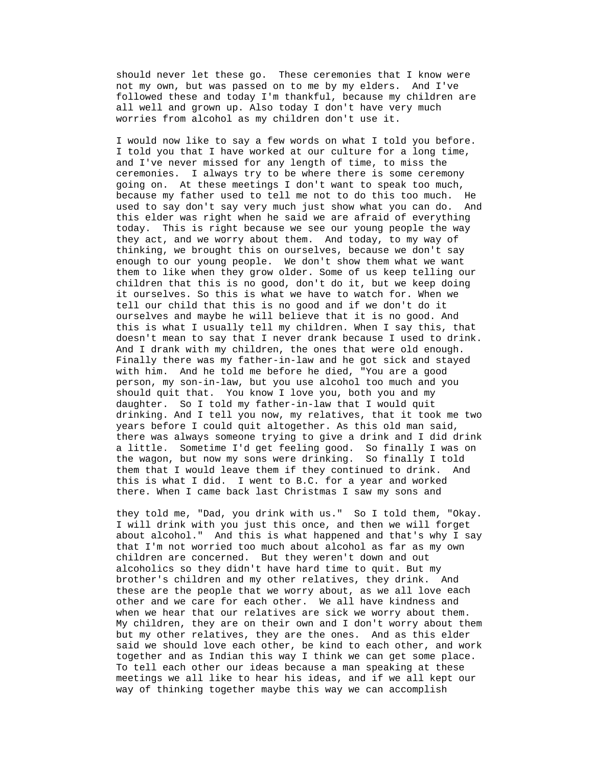should never let these go. These ceremonies that I know were not my own, but was passed on to me by my elders. And I've followed these and today I'm thankful, because my children are all well and grown up. Also today I don't have very much worries from alcohol as my children don't use it.

I would now like to say a few words on what I told you before. I told you that I have worked at our culture for a long time, and I've never missed for any length of time, to miss the because my father used to tell me not to do this too much. He used to say don't say very much just show what you can do. And them to like when they grow older. Some of us keep telling our this is what I usually tell my children. When I say this, that doesn't mean to say that I never drank because I used to drink. drinking. And I tell you now, my relatives, that it took me two years before I could quit altogether. As this old man said, there was always someone trying to give a drink and I did drink ceremonies. I always try to be where there is some ceremony going on. At these meetings I don't want to speak too much, this elder was right when he said we are afraid of everything today. This is right because we see our young people the way they act, and we worry about them. And today, to my way of thinking, we brought this on ourselves, because we don't say enough to our young people. We don't show them what we want children that this is no good, don't do it, but we keep doing it ourselves. So this is what we have to watch for. When we tell our child that this is no good and if we don't do it ourselves and maybe he will believe that it is no good. And And I drank with my children, the ones that were old enough. Finally there was my father-in-law and he got sick and stayed with him. And he told me before he died, "You are a good person, my son-in-law, but you use alcohol too much and you should quit that. You know I love you, both you and my daughter. So I told my father-in-law that I would quit a little. Sometime I'd get feeling good. So finally I was on the wagon, but now my sons were drinking. So finally I told them that I would leave them if they continued to drink. And this is what I did. I went to B.C. for a year and worked there. When I came back last Christmas I saw my sons and

. they told me, "Dad, you drink with us." So I told them, "Okay I will drink with you just this once, and then we will forget about alcohol." And this is what happened and that's why I say these are the people that we worry about, as we all love each other and we care for each other. We all have kindness and that I'm not worried too much about alcohol as far as my own children are concerned. But they weren't down and out alcoholics so they didn't have hard time to quit. But my brother's children and my other relatives, they drink. And when we hear that our relatives are sick we worry about them. My children, they are on their own and I don't worry about them but my other relatives, they are the ones. And as this elder said we should love each other, be kind to each other, and work together and as Indian this way I think we can get some place. To tell each other our ideas because a man speaking at these meetings we all like to hear his ideas, and if we all kept our way of thinking together maybe this way we can accomplish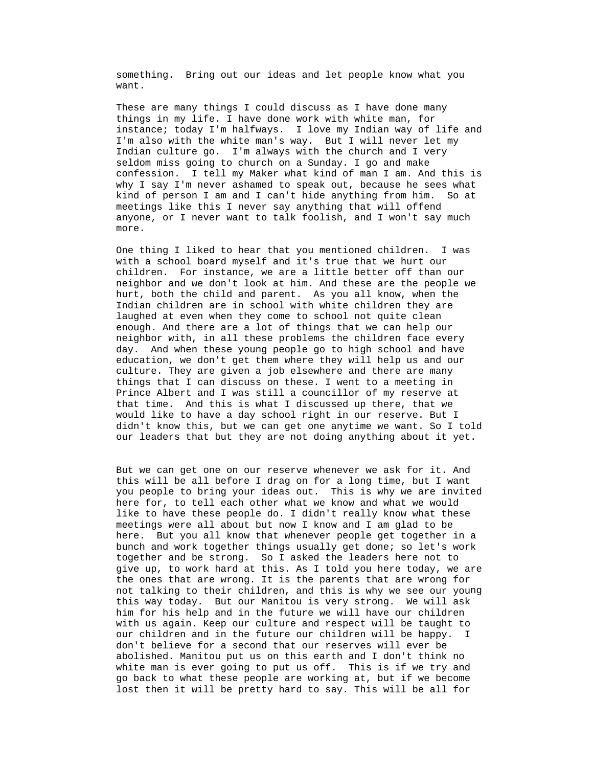something. Bring out our ideas and let people know what you want.

 These are many things I could discuss as I have done many things in my life. I have done work with white man, for instance; today I'm halfways. I love my Indian way of life and confession. I tell my Maker what kind of man I am. And this is why I say I'm never ashamed to speak out, because he sees what kind of person I am and I can't hide anything from him. So at I'm also with the white man's way. But I will never let my Indian culture go. I'm always with the church and I very seldom miss going to church on a Sunday. I go and make meetings like this I never say anything that will offend anyone, or I never want to talk foolish, and I won't say much more.

with a school board myself and it's true that we hurt our children. For instance, we are a little better off than our day. And when these young people go to high school and have didn't know this, but we can get one anytime we want. So I told our leaders that but they are not doing anything about it yet. One thing I liked to hear that you mentioned children. I was neighbor and we don't look at him. And these are the people we hurt, both the child and parent. As you all know, when the Indian children are in school with white children they are laughed at even when they come to school not quite clean enough. And there are a lot of things that we can help our neighbor with, in all these problems the children face every education, we don't get them where they will help us and our culture. They are given a job elsewhere and there are many things that I can discuss on these. I went to a meeting in Prince Albert and I was still a councillor of my reserve at that time. And this is what I discussed up there, that we would like to have a day school right in our reserve. But I

you people to bring your ideas out. This is why we are invited here. But you all know that whenever people get together in a not talking to their children, and this is why we see our young But we can get one on our reserve whenever we ask for it. And this will be all before I drag on for a long time, but I want here for, to tell each other what we know and what we would like to have these people do. I didn't really know what these meetings were all about but now I know and I am glad to be bunch and work together things usually get done; so let's work together and be strong. So I asked the leaders here not to give up, to work hard at this. As I told you here today, we are the ones that are wrong. It is the parents that are wrong for this way today. But our Manitou is very strong. We will ask him for his help and in the future we will have our children with us again. Keep our culture and respect will be taught to our children and in the future our children will be happy. I don't believe for a second that our reserves will ever be abolished. Manitou put us on this earth and I don't think no white man is ever going to put us off. This is if we try and go back to what these people are working at, but if we become lost then it will be pretty hard to say. This will be all for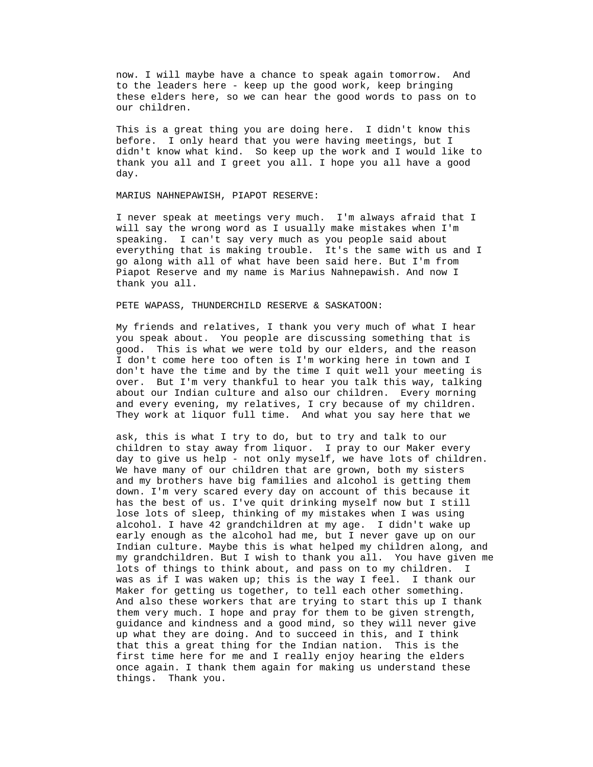now. I will maybe have a chance to speak again tomorrow. And to the leaders here - keep up the good work, keep bringing these elders here, so we can hear the good words to pass on to our children.

 This is a great thing you are doing here. I didn't know this before. I only heard that you were having meetings, but I didn't know what kind. So keep up the work and I would like to thank you all and I greet you all. I hope you all have a good day.

MARIUS NAHNEPAWISH, PIAPOT RESERVE:

I never speak at meetings very much. I'm always afraid that I will say the wrong word as I usually make mistakes when I'm speaking. I can't say very much as you people said about everything that is making trouble. It's the same with us and I go along with all of what have been said here. But I'm from Piapot Reserve and my name is Marius Nahnepawish. And now I thank you all.

### PETE WAPASS, THUNDERCHILD RESERVE & SASKATOON:

My friends and relatives, I thank you very much of what I hear you speak about. You people are discussing something that is good. This is what we were told by our elders, and the reason I don't come here too often is I'm working here in town and I don't have the time and by the time I quit well your meeting is over. But I'm very thankful to hear you talk this way, talking about our Indian culture and also our children. Every morning and every evening, my relatives, I cry because of my children. They work at liquor full time. And what you say here that we

day to give us help - not only myself, we have lots of children. We have many of our children that are grown, both my sisters Indian culture. Maybe this is what helped my children along, and my grandchildren. But I wish to thank you all. You have given me ask, this is what I try to do, but to try and talk to our children to stay away from liquor. I pray to our Maker every and my brothers have big families and alcohol is getting them down. I'm very scared every day on account of this because it has the best of us. I've quit drinking myself now but I still lose lots of sleep, thinking of my mistakes when I was using alcohol. I have 42 grandchildren at my age. I didn't wake up early enough as the alcohol had me, but I never gave up on our lots of things to think about, and pass on to my children. I was as if I was waken up; this is the way I feel. I thank our Maker for getting us together, to tell each other something. And also these workers that are trying to start this up I thank them very much. I hope and pray for them to be given strength, guidance and kindness and a good mind, so they will never give up what they are doing. And to succeed in this, and I think that this a great thing for the Indian nation. This is the first time here for me and I really enjoy hearing the elders once again. I thank them again for making us understand these things. Thank you.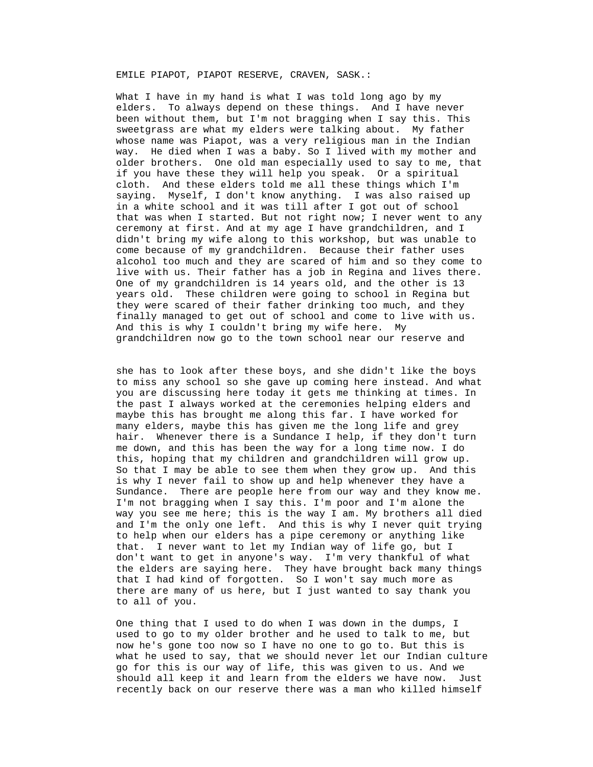EMILE PIAPOT, PIAPOT RESERVE, CRAVEN, SASK.:

What I have in my hand is what I was told long ago by my elders. To always depend on these things. And I have never been without them, but I'm not bragging when I say this. This sweetgrass are what my elders were talking about. My father older brothers. One old man especially used to say to me, that that was when I started. But not right now; I never went to any didn't bring my wife along to this workshop, but was unable to alcohol too much and they are scared of him and so they come to whose name was Piapot, was a very religious man in the Indian way. He died when I was a baby. So I lived with my mother and if you have these they will help you speak. Or a spiritual cloth. And these elders told me all these things which I'm saying. Myself, I don't know anything. I was also raised up in a white school and it was till after I got out of school ceremony at first. And at my age I have grandchildren, and I come because of my grandchildren. Because their father uses live with us. Their father has a job in Regina and lives there. One of my grandchildren is 14 years old, and the other is 13 years old. These children were going to school in Regina but they were scared of their father drinking too much, and they finally managed to get out of school and come to live with us. And this is why I couldn't bring my wife here. My grandchildren now go to the town school near our reserve and

to miss any school so she gave up coming here instead. And what you are discussing here today it gets me thinking at times. In the elders are saying here. They have brought back many things she has to look after these boys, and she didn't like the boys the past I always worked at the ceremonies helping elders and maybe this has brought me along this far. I have worked for many elders, maybe this has given me the long life and grey hair. Whenever there is a Sundance I help, if they don't turn me down, and this has been the way for a long time now. I do this, hoping that my children and grandchildren will grow up. So that I may be able to see them when they grow up. And this is why I never fail to show up and help whenever they have a Sundance. There are people here from our way and they know me. I'm not bragging when I say this. I'm poor and I'm alone the way you see me here; this is the way I am. My brothers all died and I'm the only one left. And this is why I never quit trying to help when our elders has a pipe ceremony or anything like that. I never want to let my Indian way of life go, but I don't want to get in anyone's way. I'm very thankful of what that I had kind of forgotten. So I won't say much more as there are many of us here, but I just wanted to say thank you to all of you.

used to go to my older brother and he used to talk to me, but now he's gone too now so I have no one to go to. But this is what he used to say, that we should never let our Indian culture should all keep it and learn from the elders we have now. Just One thing that I used to do when I was down in the dumps, I go for this is our way of life, this was given to us. And we recently back on our reserve there was a man who killed himself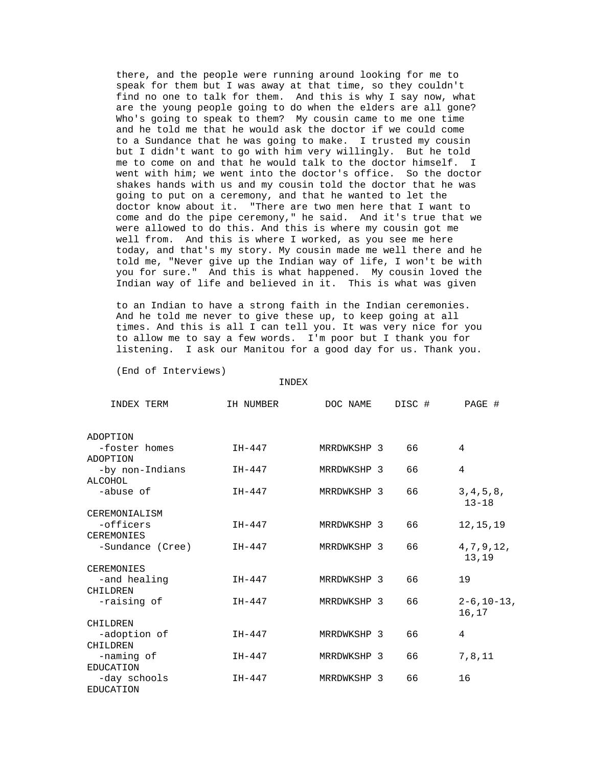there, and the people were running around looking for me to speak for them but I was away at that time, so they couldn't find no one to talk for them. And this is why I say now, what are the young people going to do when the elders are all gone? Who's going to speak to them? My cousin came to me one time and he told me that he would ask the doctor if we could come to a Sundance that he was going to make. I trusted my cousin but I didn't want to go with him very willingly. But he told me to come on and that he would talk to the doctor himself. I told me, "Never give up the Indian way of life, I won't be with you for sure." And this is what happened. My cousin loved the went with him; we went into the doctor's office. So the doctor shakes hands with us and my cousin told the doctor that he was going to put on a ceremony, and that he wanted to let the doctor know about it. "There are two men here that I want to come and do the pipe ceremony," he said. And it's true that we were allowed to do this. And this is where my cousin got me well from. And this is where I worked, as you see me here today, and that's my story. My cousin made me well there and he Indian way of life and believed in it. This is what was given

times. And this is all I can tell you. It was very nice for you to an Indian to have a strong faith in the Indian ceremonies. And he told me never to give these up, to keep going at all to allow me to say a few words. I'm poor but I thank you for listening. I ask our Manitou for a good day for us. Thank you.

(End of Interviews)

INDEX

| INDEX TERM                       | IH NUMBER | DOC NAME    | DISC # | PAGE #                      |
|----------------------------------|-----------|-------------|--------|-----------------------------|
| ADOPTION                         |           |             |        |                             |
| -foster homes<br>ADOPTION        | $IH-447$  | MRRDWKSHP 3 | 66     | 4                           |
| -by non-Indians<br>ALCOHOL       | $IH-447$  | MRRDWKSHP 3 | 66     | 4                           |
| -abuse of                        | $IH-447$  | MRRDWKSHP 3 | 66     | 3, 4, 5, 8,<br>$13 - 18$    |
| CEREMONIALISM                    |           |             |        |                             |
| -officers                        | $IH-447$  | MRRDWKSHP 3 | 66     | 12, 15, 19                  |
| <b>CEREMONIES</b>                |           |             |        |                             |
| -Sundance (Cree)                 | $IH-447$  | MRRDWKSHP 3 | 66     | 4, 7, 9, 12,<br>13,19       |
| <b>CEREMONIES</b>                |           |             |        |                             |
| -and healing                     | $IH-447$  | MRRDWKSHP 3 | 66     | 19                          |
| CHILDREN                         |           |             |        |                             |
| -raising of                      | $IH-447$  | MRRDWKSHP 3 | 66     | $2 - 6$ , 10 – 13,<br>16,17 |
| CHILDREN                         |           |             |        |                             |
| -adoption of                     | $IH-447$  | MRRDWKSHP 3 | 66     | 4                           |
| CHILDREN                         |           |             |        |                             |
| -naming of<br><b>EDUCATION</b>   | $IH-447$  | MRRDWKSHP 3 | 66     | 7,8,11                      |
| -day schools<br><b>EDUCATION</b> | $IH-447$  | MRRDWKSHP 3 | 66     | 16                          |